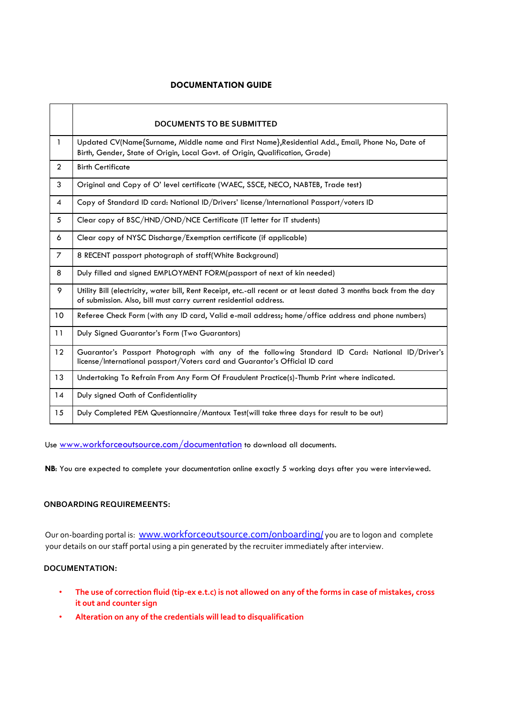# **DOCUMENTATION GUIDE**

|                | <b>DOCUMENTS TO BE SUBMITTED</b>                                                                                                                                                       |
|----------------|----------------------------------------------------------------------------------------------------------------------------------------------------------------------------------------|
| $\mathbf{1}$   | Updated CV(Name{Surname, Middle name and First Name}, Residential Add., Email, Phone No, Date of<br>Birth, Gender, State of Origin, Local Govt. of Origin, Qualification, Grade)       |
| $\overline{2}$ | <b>Birth Certificate</b>                                                                                                                                                               |
| 3              | Original and Copy of O' level certificate (WAEC, SSCE, NECO, NABTEB, Trade test)                                                                                                       |
| $\overline{4}$ | Copy of Standard ID card: National ID/Drivers' license/International Passport/voters ID                                                                                                |
| 5              | Clear copy of BSC/HND/OND/NCE Certificate (IT letter for IT students)                                                                                                                  |
| 6              | Clear copy of NYSC Discharge/Exemption certificate (if applicable)                                                                                                                     |
| $\overline{7}$ | 8 RECENT passport photograph of staff(White Background)                                                                                                                                |
| 8              | Duly filled and signed EMPLOYMENT FORM(passport of next of kin needed)                                                                                                                 |
| 9              | Utility Bill (electricity, water bill, Rent Receipt, etc.-all recent or at least dated 3 months back from the day<br>of submission. Also, bill must carry current residential address. |
| 10             | Referee Check Form (with any ID card, Valid e-mail address; home/office address and phone numbers)                                                                                     |
| 11             | Duly Signed Guarantor's Form (Two Guarantors)                                                                                                                                          |
| 12             | Guarantor's Passport Photograph with any of the following Standard ID Card: National ID/Driver's<br>license/International passport/Voters card and Guarantor's Official ID card        |
| 13             | Undertaking To Refrain From Any Form Of Fraudulent Practice(s)-Thumb Print where indicated.                                                                                            |
| 14             | Duly signed Oath of Confidentiality                                                                                                                                                    |
| 15             | Duly Completed PEM Questionnaire/Mantoux Test(will take three days for result to be out)                                                                                               |

Use [www.workforceoutsource.com/documentation](http://www.workforceoutsource.com/documentation) to download all documents.

**NB**: You are expected to complete your documentation online exactly 5 working days after you were interviewed.

# **ONBOARDING REQUIREMEENTS:**

Our on-boarding portal is[:](http://www.workforceoutsource.com/onboarding/) [www.workforceoutsource.com/onboarding/](http://www.workforceoutsource.com/onboarding/) [yo](http://www.workforceoutsource.com/onboarding/)u are to logon and complete your details on our staff portal using a pin generated by the recruiter immediately after interview.

### **DOCUMENTATION:**

- **The use of correction fluid (tip-ex e.t.c) is not allowed on any of the forms in case of mistakes, cross it out and counter sign**
- **Alteration on any of the credentials will lead to disqualification**